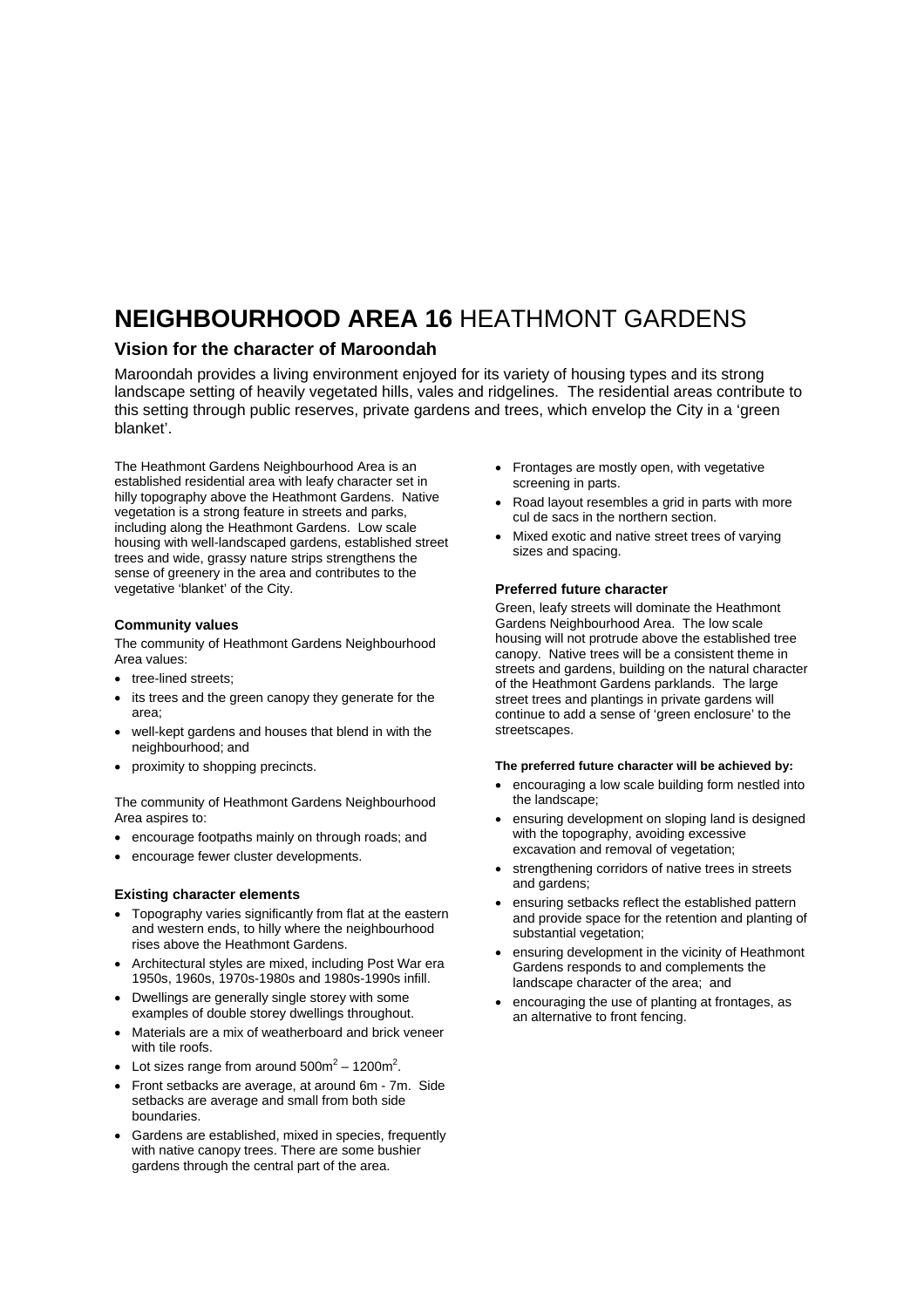# **NEIGHBOURHOOD AREA 16** HEATHMONT GARDENS

### **Vision for the character of Maroondah**

Maroondah provides a living environment enjoyed for its variety of housing types and its strong landscape setting of heavily vegetated hills, vales and ridgelines. The residential areas contribute to this setting through public reserves, private gardens and trees, which envelop the City in a 'green blanket'.

The Heathmont Gardens Neighbourhood Area is an established residential area with leafy character set in hilly topography above the Heathmont Gardens. Native vegetation is a strong feature in streets and parks, including along the Heathmont Gardens. Low scale housing with well-landscaped gardens, established street trees and wide, grassy nature strips strengthens the sense of greenery in the area and contributes to the vegetative 'blanket' of the City.

#### **Community values**

The community of Heathmont Gardens Neighbourhood Area values:

- tree-lined streets;
- its trees and the green canopy they generate for the area;
- well-kept gardens and houses that blend in with the neighbourhood; and
- proximity to shopping precincts.

The community of Heathmont Gardens Neighbourhood Area aspires to:

- encourage footpaths mainly on through roads; and
- encourage fewer cluster developments.

#### **Existing character elements**

- Topography varies significantly from flat at the eastern and western ends, to hilly where the neighbourhood rises above the Heathmont Gardens.
- Architectural styles are mixed, including Post War era 1950s, 1960s, 1970s-1980s and 1980s-1990s infill.
- Dwellings are generally single storey with some examples of double storey dwellings throughout.
- Materials are a mix of weatherboard and brick veneer with tile roofs.
- Lot sizes range from around  $500m^2 1200m^2$ .
- Front setbacks are average, at around 6m 7m. Side setbacks are average and small from both side boundaries.
- Gardens are established, mixed in species, frequently with native canopy trees. There are some bushier gardens through the central part of the area.
- Frontages are mostly open, with vegetative screening in parts.
- Road layout resembles a grid in parts with more cul de sacs in the northern section.
- Mixed exotic and native street trees of varying sizes and spacing.

#### **Preferred future character**

Green, leafy streets will dominate the Heathmont Gardens Neighbourhood Area. The low scale housing will not protrude above the established tree canopy. Native trees will be a consistent theme in streets and gardens, building on the natural character of the Heathmont Gardens parklands. The large street trees and plantings in private gardens will continue to add a sense of 'green enclosure' to the streetscapes.

#### **The preferred future character will be achieved by:**

- encouraging a low scale building form nestled into the landscape;
- ensuring development on sloping land is designed with the topography, avoiding excessive excavation and removal of vegetation;
- strengthening corridors of native trees in streets and gardens;
- ensuring setbacks reflect the established pattern and provide space for the retention and planting of substantial vegetation;
- ensuring development in the vicinity of Heathmont Gardens responds to and complements the landscape character of the area; and
- encouraging the use of planting at frontages, as an alternative to front fencing.